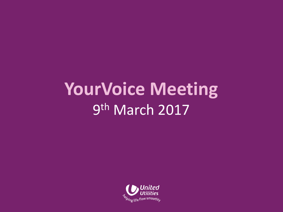## **YourVoice Meeting** 9<sup>th</sup> March 2017